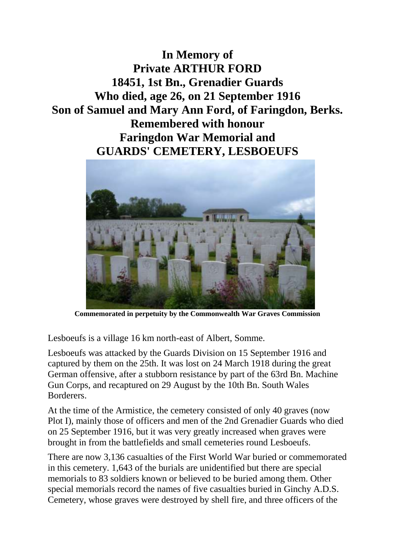**In Memory of Private ARTHUR FORD 18451, 1st Bn., Grenadier Guards Who died, age 26, on 21 September 1916 Son of Samuel and Mary Ann Ford, of Faringdon, Berks. Remembered with honour Faringdon War Memorial and GUARDS' CEMETERY, LESBOEUFS**



**Commemorated in perpetuity by the Commonwealth War Graves Commission**

Lesboeufs is a village 16 km north-east of Albert, Somme.

Lesboeufs was attacked by the Guards Division on 15 September 1916 and captured by them on the 25th. It was lost on 24 March 1918 during the great German offensive, after a stubborn resistance by part of the 63rd Bn. Machine Gun Corps, and recaptured on 29 August by the 10th Bn. South Wales Borderers.

At the time of the Armistice, the cemetery consisted of only 40 graves (now Plot I), mainly those of officers and men of the 2nd Grenadier Guards who died on 25 September 1916, but it was very greatly increased when graves were brought in from the battlefields and small cemeteries round Lesboeufs.

There are now 3,136 casualties of the First World War buried or commemorated in this cemetery. 1,643 of the burials are unidentified but there are special memorials to 83 soldiers known or believed to be buried among them. Other special memorials record the names of five casualties buried in Ginchy A.D.S. Cemetery, whose graves were destroyed by shell fire, and three officers of the